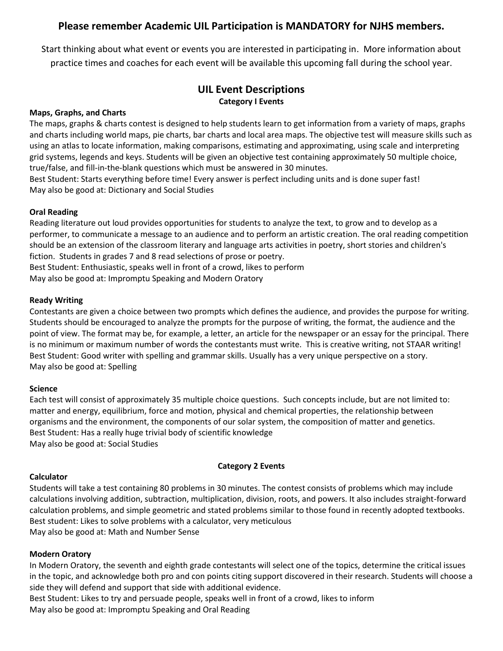# **Please remember Academic UIL Participation is MANDATORY for NJHS members.**

Start thinking about what event or events you are interested in participating in. More information about practice times and coaches for each event will be available this upcoming fall during the school year.

# **UIL Event Descriptions Category I Events**

## **Maps, Graphs, and Charts**

The maps, graphs & charts contest is designed to help students learn to get information from a variety of maps, graphs and charts including world maps, pie charts, bar charts and local area maps. The objective test will measure skills such as using an atlas to locate information, making comparisons, estimating and approximating, using scale and interpreting grid systems, legends and keys. Students will be given an objective test containing approximately 50 multiple choice, true/false, and fill-in-the-blank questions which must be answered in 30 minutes.

Best Student: Starts everything before time! Every answer is perfect including units and is done super fast! May also be good at: Dictionary and Social Studies

## **Oral Reading**

Reading literature out loud provides opportunities for students to analyze the text, to grow and to develop as a performer, to communicate a message to an audience and to perform an artistic creation. The oral reading competition should be an extension of the classroom literary and language arts activities in poetry, short stories and children's fiction. Students in grades 7 and 8 read selections of prose or poetry. Best Student: Enthusiastic, speaks well in front of a crowd, likes to perform May also be good at: Impromptu Speaking and Modern Oratory

**Ready Writing**

Contestants are given a choice between two prompts which defines the audience, and provides the purpose for writing. Students should be encouraged to analyze the prompts for the purpose of writing, the format, the audience and the point of view. The format may be, for example, a letter, an article for the newspaper or an essay for the principal. There is no minimum or maximum number of words the contestants must write. This is creative writing, not STAAR writing! Best Student: Good writer with spelling and grammar skills. Usually has a very unique perspective on a story. May also be good at: Spelling

#### **Science**

Each test will consist of approximately 35 multiple choice questions. Such concepts include, but are not limited to: matter and energy, equilibrium, force and motion, physical and chemical properties, the relationship between organisms and the environment, the components of our solar system, the composition of matter and genetics. Best Student: Has a really huge trivial body of scientific knowledge May also be good at: Social Studies

#### **Category 2 Events**

#### **Calculator**

Students will take a test containing 80 problems in 30 minutes. The contest consists of problems which may include calculations involving addition, subtraction, multiplication, division, roots, and powers. It also includes straight-forward calculation problems, and simple geometric and stated problems similar to those found in recently adopted textbooks. Best student: Likes to solve problems with a calculator, very meticulous May also be good at: Math and Number Sense

#### **Modern Oratory**

In Modern Oratory, the seventh and eighth grade contestants will select one of the topics, determine the critical issues in the topic, and acknowledge both pro and con points citing support discovered in their research. Students will choose a side they will defend and support that side with additional evidence.

Best Student: Likes to try and persuade people, speaks well in front of a crowd, likes to inform May also be good at: Impromptu Speaking and Oral Reading